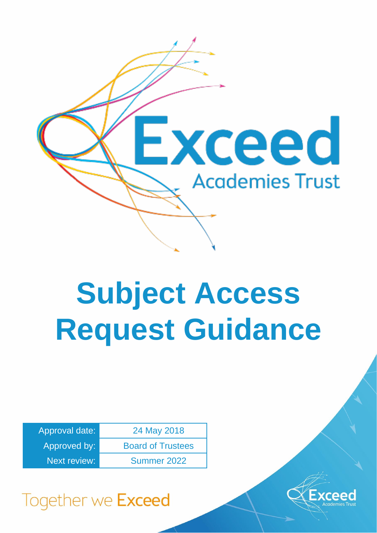

# **Subject Access Request Guidance**

| Approval date:      | 24 May 2018              |
|---------------------|--------------------------|
| Approved by:        | <b>Board of Trustees</b> |
| <b>Next review:</b> | Summer 2022              |



## Together we Exceed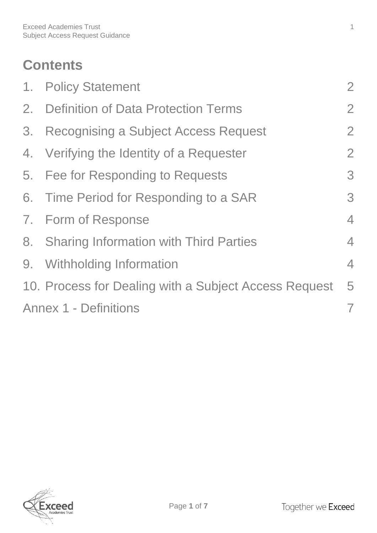## **Contents**

| 1. Policy Statement                                   | $\overline{2}$ |
|-------------------------------------------------------|----------------|
| 2. Definition of Data Protection Terms                |                |
| 3. Recognising a Subject Access Request               | $\overline{2}$ |
| 4. Verifying the Identity of a Requester              | $\overline{2}$ |
| 5. Fee for Responding to Requests                     | 3              |
| 6. Time Period for Responding to a SAR                | 3              |
| 7. Form of Response                                   | $\overline{4}$ |
| 8. Sharing Information with Third Parties             | $\overline{4}$ |
| 9. Withholding Information                            | $\overline{4}$ |
| 10. Process for Dealing with a Subject Access Request | 5              |
| <b>Annex 1 - Definitions</b>                          |                |

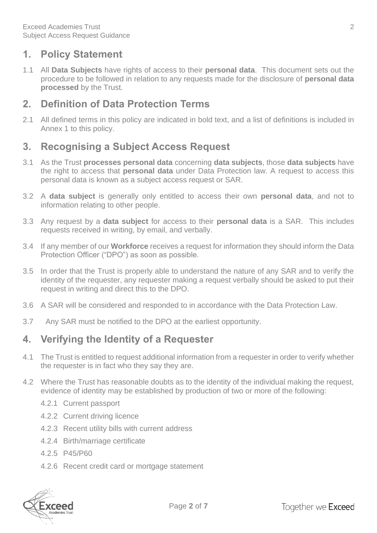#### <span id="page-2-0"></span>**1. Policy Statement**

1.1 All **Data Subjects** have rights of access to their **personal data**. This document sets out the procedure to be followed in relation to any requests made for the disclosure of **personal data processed** by the Trust.

#### <span id="page-2-1"></span>**2. Definition of Data Protection Terms**

2.1 All defined terms in this policy are indicated in bold text, and a list of definitions is included in Annex 1 to this policy.

#### <span id="page-2-2"></span>**3. Recognising a Subject Access Request**

- 3.1 As the Trust **processes personal data** concerning **data subjects**, those **data subjects** have the right to access that **personal data** under Data Protection law. A request to access this personal data is known as a subject access request or SAR.
- 3.2 A **data subject** is generally only entitled to access their own **personal data**, and not to information relating to other people.
- 3.3 Any request by a **data subject** for access to their **personal data** is a SAR. This includes requests received in writing, by email, and verbally.
- 3.4 If any member of our **Workforce** receives a request for information they should inform the Data Protection Officer ("DPO") as soon as possible.
- 3.5 In order that the Trust is properly able to understand the nature of any SAR and to verify the identity of the requester, any requester making a request verbally should be asked to put their request in writing and direct this to the DPO.
- 3.6 A SAR will be considered and responded to in accordance with the Data Protection Law.
- 3.7 Any SAR must be notified to the DPO at the earliest opportunity.

#### <span id="page-2-3"></span>**4. Verifying the Identity of a Requester**

- 4.1 The Trust is entitled to request additional information from a requester in order to verify whether the requester is in fact who they say they are.
- 4.2 Where the Trust has reasonable doubts as to the identity of the individual making the request, evidence of identity may be established by production of two or more of the following:
	- 4.2.1 Current passport
	- 4.2.2 Current driving licence
	- 4.2.3 Recent utility bills with current address
	- 4.2.4 Birth/marriage certificate
	- 4.2.5 P45/P60
	- 4.2.6 Recent credit card or mortgage statement

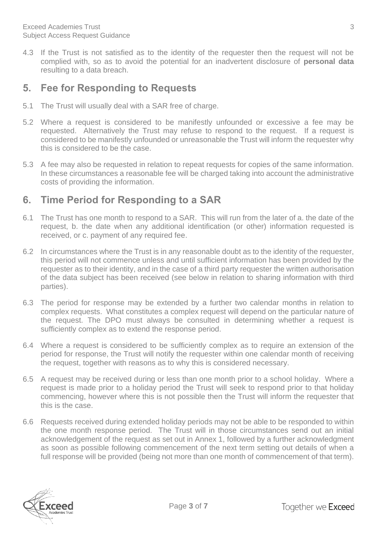4.3 If the Trust is not satisfied as to the identity of the requester then the request will not be complied with, so as to avoid the potential for an inadvertent disclosure of **personal data** resulting to a data breach.

#### <span id="page-3-0"></span>**5. Fee for Responding to Requests**

- 5.1 The Trust will usually deal with a SAR free of charge.
- 5.2 Where a request is considered to be manifestly unfounded or excessive a fee may be requested. Alternatively the Trust may refuse to respond to the request. If a request is considered to be manifestly unfounded or unreasonable the Trust will inform the requester why this is considered to be the case.
- 5.3 A fee may also be requested in relation to repeat requests for copies of the same information. In these circumstances a reasonable fee will be charged taking into account the administrative costs of providing the information.

#### <span id="page-3-1"></span>**6. Time Period for Responding to a SAR**

- 6.1 The Trust has one month to respond to a SAR. This will run from the later of a. the date of the request, b. the date when any additional identification (or other) information requested is received, or c. payment of any required fee.
- 6.2 In circumstances where the Trust is in any reasonable doubt as to the identity of the requester, this period will not commence unless and until sufficient information has been provided by the requester as to their identity, and in the case of a third party requester the written authorisation of the data subject has been received (see below in relation to sharing information with third parties).
- 6.3 The period for response may be extended by a further two calendar months in relation to complex requests. What constitutes a complex request will depend on the particular nature of the request. The DPO must always be consulted in determining whether a request is sufficiently complex as to extend the response period.
- 6.4 Where a request is considered to be sufficiently complex as to require an extension of the period for response, the Trust will notify the requester within one calendar month of receiving the request, together with reasons as to why this is considered necessary.
- 6.5 A request may be received during or less than one month prior to a school holiday. Where a request is made prior to a holiday period the Trust will seek to respond prior to that holiday commencing, however where this is not possible then the Trust will inform the requester that this is the case.
- 6.6 Requests received during extended holiday periods may not be able to be responded to within the one month response period. The Trust will in those circumstances send out an initial acknowledgement of the request as set out in Annex 1, followed by a further acknowledgment as soon as possible following commencement of the next term setting out details of when a full response will be provided (being not more than one month of commencement of that term).

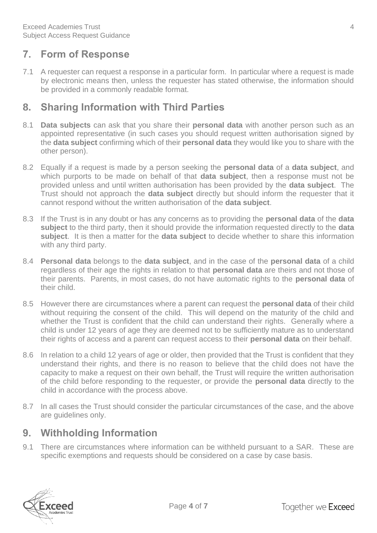#### <span id="page-4-0"></span>**7. Form of Response**

7.1 A requester can request a response in a particular form. In particular where a request is made by electronic means then, unless the requester has stated otherwise, the information should be provided in a commonly readable format.

#### <span id="page-4-1"></span>**8. Sharing Information with Third Parties**

- 8.1 **Data subjects** can ask that you share their **personal data** with another person such as an appointed representative (in such cases you should request written authorisation signed by the **data subject** confirming which of their **personal data** they would like you to share with the other person).
- 8.2 Equally if a request is made by a person seeking the **personal data** of a **data subject**, and which purports to be made on behalf of that **data subject**, then a response must not be provided unless and until written authorisation has been provided by the **data subject**. The Trust should not approach the **data subject** directly but should inform the requester that it cannot respond without the written authorisation of the **data subject**.
- 8.3 If the Trust is in any doubt or has any concerns as to providing the **personal data** of the **data subject** to the third party, then it should provide the information requested directly to the **data subject**. It is then a matter for the **data subject** to decide whether to share this information with any third party.
- 8.4 **Personal data** belongs to the **data subject**, and in the case of the **personal data** of a child regardless of their age the rights in relation to that **personal data** are theirs and not those of their parents. Parents, in most cases, do not have automatic rights to the **personal data** of their child.
- 8.5 However there are circumstances where a parent can request the **personal data** of their child without requiring the consent of the child. This will depend on the maturity of the child and whether the Trust is confident that the child can understand their rights. Generally where a child is under 12 years of age they are deemed not to be sufficiently mature as to understand their rights of access and a parent can request access to their **personal data** on their behalf.
- 8.6 In relation to a child 12 years of age or older, then provided that the Trust is confident that they understand their rights, and there is no reason to believe that the child does not have the capacity to make a request on their own behalf, the Trust will require the written authorisation of the child before responding to the requester, or provide the **personal data** directly to the child in accordance with the process above.
- 8.7 In all cases the Trust should consider the particular circumstances of the case, and the above are guidelines only.

#### <span id="page-4-2"></span>**9. Withholding Information**

9.1 There are circumstances where information can be withheld pursuant to a SAR. These are specific exemptions and requests should be considered on a case by case basis.

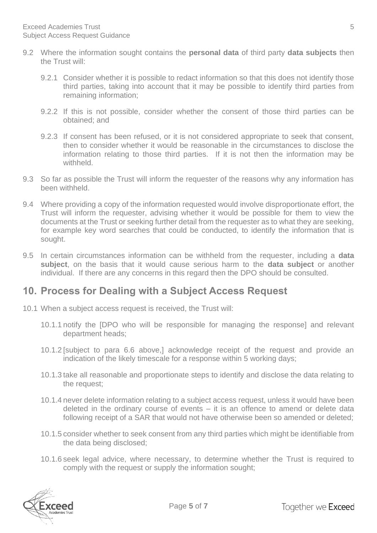- 9.2 Where the information sought contains the **personal data** of third party **data subjects** then the Trust will:
	- 9.2.1 Consider whether it is possible to redact information so that this does not identify those third parties, taking into account that it may be possible to identify third parties from remaining information;
	- 9.2.2 If this is not possible, consider whether the consent of those third parties can be obtained; and
	- 9.2.3 If consent has been refused, or it is not considered appropriate to seek that consent, then to consider whether it would be reasonable in the circumstances to disclose the information relating to those third parties. If it is not then the information may be withheld.
- 9.3 So far as possible the Trust will inform the requester of the reasons why any information has been withheld.
- 9.4 Where providing a copy of the information requested would involve disproportionate effort, the Trust will inform the requester, advising whether it would be possible for them to view the documents at the Trust or seeking further detail from the requester as to what they are seeking, for example key word searches that could be conducted, to identify the information that is sought.
- 9.5 In certain circumstances information can be withheld from the requester, including a **data subject**, on the basis that it would cause serious harm to the **data subject** or another individual. If there are any concerns in this regard then the DPO should be consulted.

#### <span id="page-5-0"></span>**10. Process for Dealing with a Subject Access Request**

- 10.1 When a subject access request is received, the Trust will:
	- 10.1.1 notify the [DPO who will be responsible for managing the response] and relevant department heads;
	- 10.1.2 [subject to para 6.6 above,] acknowledge receipt of the request and provide an indication of the likely timescale for a response within 5 working days;
	- 10.1.3 take all reasonable and proportionate steps to identify and disclose the data relating to the request;
	- 10.1.4 never delete information relating to a subject access request, unless it would have been deleted in the ordinary course of events – it is an offence to amend or delete data following receipt of a SAR that would not have otherwise been so amended or deleted;
	- 10.1.5 consider whether to seek consent from any third parties which might be identifiable from the data being disclosed;
	- 10.1.6 seek legal advice, where necessary, to determine whether the Trust is required to comply with the request or supply the information sought;

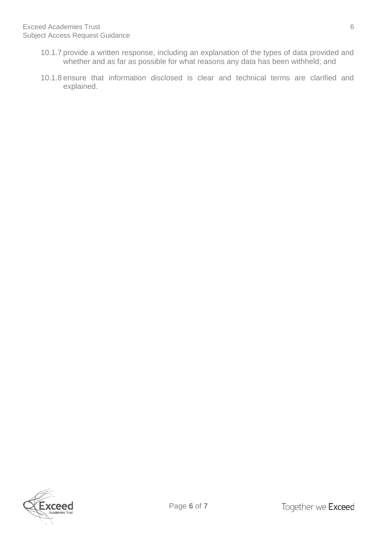- 10.1.7 provide a written response, including an explanation of the types of data provided and whether and as far as possible for what reasons any data has been withheld; and
- 10.1.8 ensure that information disclosed is clear and technical terms are clarified and explained.



Page **6** of **7**